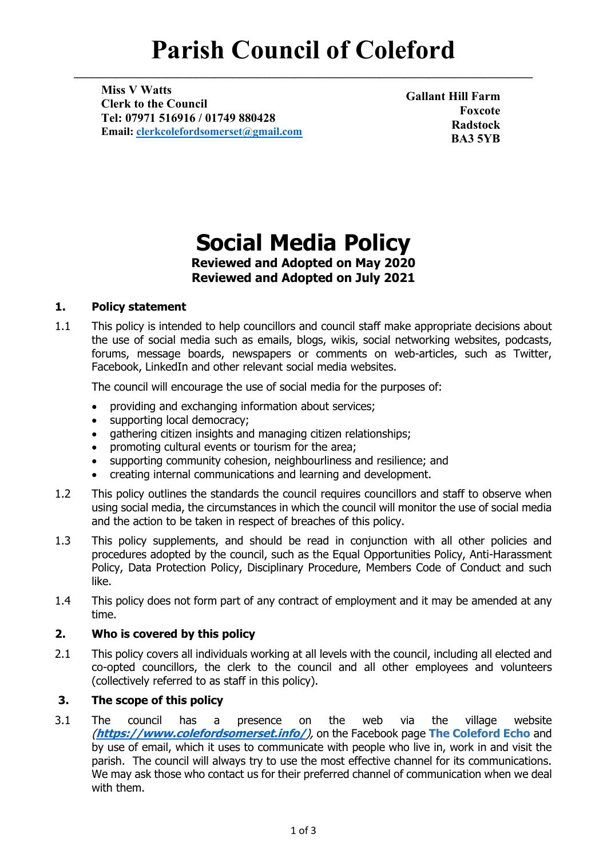# **Parish Council of Coleford**

**\_\_\_\_\_\_\_\_\_\_\_\_\_\_\_\_\_\_\_\_\_\_\_\_\_\_\_\_\_\_\_\_\_\_\_\_\_\_\_\_\_\_\_\_\_\_\_\_\_\_\_\_\_\_\_\_\_\_\_\_\_\_\_\_\_\_\_\_\_\_\_\_\_\_\_**

**Miss V Watts Clerk to the Council Tel: 07971 516916 / 01749 880428 Email: [clerkcolefordsomerset@gmail.com](mailto:clerkcolefordsomerset@gmail.com)**

**Gallant Hill Farm Foxcote Radstock BA3 5YB**

## **Social Media Policy**

**Reviewed and Adopted on May 2020 Reviewed and Adopted on July 2021**

### **1. Policy statement**

1.1 This policy is intended to help councillors and council staff make appropriate decisions about the use of social media such as emails, blogs, wikis, social networking websites, podcasts, forums, message boards, newspapers or comments on web-articles, such as Twitter, Facebook, LinkedIn and other relevant social media websites.

The council will encourage the use of social media for the purposes of:

- providing and exchanging information about services;
- supporting local democracy;
- gathering citizen insights and managing citizen relationships;
- promoting cultural events or tourism for the area;
- supporting community cohesion, neighbourliness and resilience; and
- creating internal communications and learning and development.
- 1.2 This policy outlines the standards the council requires councillors and staff to observe when using social media, the circumstances in which the council will monitor the use of social media and the action to be taken in respect of breaches of this policy.
- 1.3 This policy supplements, and should be read in conjunction with all other policies and procedures adopted by the council, such as the Equal Opportunities Policy, Anti-Harassment Policy, Data Protection Policy, Disciplinary Procedure, Members Code of Conduct and such like.
- 1.4 This policy does not form part of any contract of employment and it may be amended at any time.

#### **2. Who is covered by this policy**

2.1 This policy covers all individuals working at all levels with the council, including all elected and co-opted councillors, the clerk to the council and all other employees and volunteers (collectively referred to as staff in this policy).

#### **3. The scope of this policy**

3.1 The council has a presence on the web via the village website (**<https://www.colefordsomerset.info/>**), on the Facebook page **The Coleford Echo** and by use of email, which it uses to communicate with people who live in, work in and visit the parish. The council will always try to use the most effective channel for its communications. We may ask those who contact us for their preferred channel of communication when we deal with them.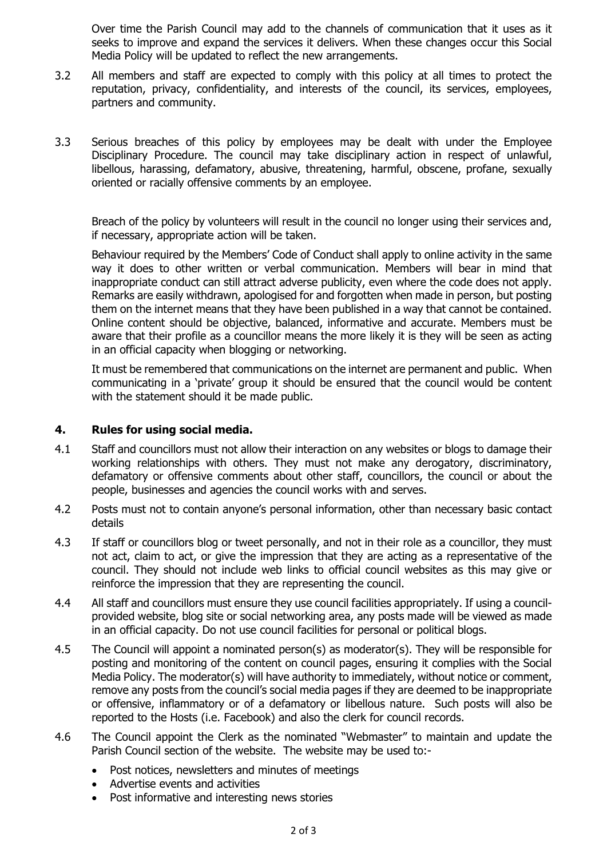Over time the Parish Council may add to the channels of communication that it uses as it seeks to improve and expand the services it delivers. When these changes occur this Social Media Policy will be updated to reflect the new arrangements.

- 3.2 All members and staff are expected to comply with this policy at all times to protect the reputation, privacy, confidentiality, and interests of the council, its services, employees, partners and community.
- 3.3 Serious breaches of this policy by employees may be dealt with under the Employee Disciplinary Procedure. The council may take disciplinary action in respect of unlawful, libellous, harassing, defamatory, abusive, threatening, harmful, obscene, profane, sexually oriented or racially offensive comments by an employee.

Breach of the policy by volunteers will result in the council no longer using their services and, if necessary, appropriate action will be taken.

Behaviour required by the Members' Code of Conduct shall apply to online activity in the same way it does to other written or verbal communication. Members will bear in mind that inappropriate conduct can still attract adverse publicity, even where the code does not apply. Remarks are easily withdrawn, apologised for and forgotten when made in person, but posting them on the internet means that they have been published in a way that cannot be contained. Online content should be objective, balanced, informative and accurate. Members must be aware that their profile as a councillor means the more likely it is they will be seen as acting in an official capacity when blogging or networking.

It must be remembered that communications on the internet are permanent and public. When communicating in a 'private' group it should be ensured that the council would be content with the statement should it be made public.

#### **4. Rules for using social media.**

- 4.1 Staff and councillors must not allow their interaction on any websites or blogs to damage their working relationships with others. They must not make any derogatory, discriminatory, defamatory or offensive comments about other staff, councillors, the council or about the people, businesses and agencies the council works with and serves.
- 4.2 Posts must not to contain anyone's personal information, other than necessary basic contact details
- 4.3 If staff or councillors blog or tweet personally, and not in their role as a councillor, they must not act, claim to act, or give the impression that they are acting as a representative of the council. They should not include web links to official council websites as this may give or reinforce the impression that they are representing the council.
- 4.4 All staff and councillors must ensure they use council facilities appropriately. If using a councilprovided website, blog site or social networking area, any posts made will be viewed as made in an official capacity. Do not use council facilities for personal or political blogs.
- 4.5 The Council will appoint a nominated person(s) as moderator(s). They will be responsible for posting and monitoring of the content on council pages, ensuring it complies with the Social Media Policy. The moderator(s) will have authority to immediately, without notice or comment, remove any posts from the council's social media pages if they are deemed to be inappropriate or offensive, inflammatory or of a defamatory or libellous nature. Such posts will also be reported to the Hosts (i.e. Facebook) and also the clerk for council records.
- 4.6 The Council appoint the Clerk as the nominated "Webmaster" to maintain and update the Parish Council section of the website. The website may be used to:-
	- Post notices, newsletters and minutes of meetings
	- Advertise events and activities
	- Post informative and interesting news stories